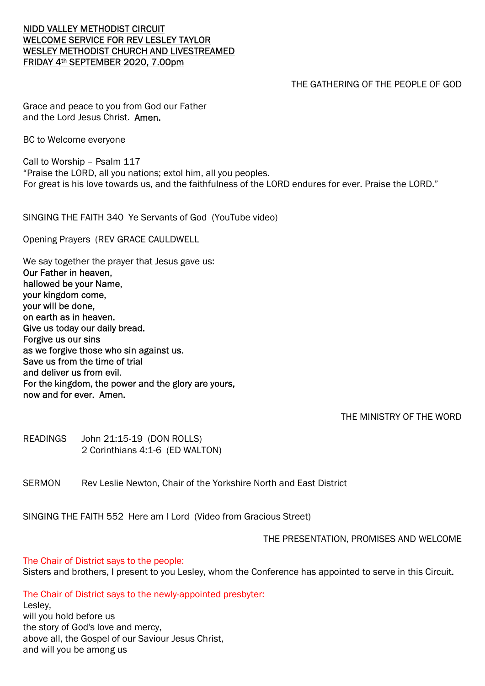## NIDD VALLEY METHODIST CIRCUIT WELCOME SERVICE FOR REV LESLEY TAYLOR WESLEY METHODIST CHURCH AND LIVESTREAMED FRIDAY 4th SEPTEMBER 2020, 7.00pm

# THE GATHERING OF THE PEOPLE OF GOD

Grace and peace to you from God our Father and the Lord Jesus Christ. Amen.

BC to Welcome everyone

Call to Worship – Psalm 117 "Praise the LORD, all you nations; extol him, all you peoples. For great is his love towards us, and the faithfulness of the LORD endures for ever. Praise the LORD."

SINGING THE FAITH 340 Ye Servants of God (YouTube video)

Opening Prayers (REV GRACE CAULDWELL

We say together the prayer that Jesus gave us: Our Father in heaven, hallowed be your Name, your kingdom come, your will be done, on earth as in heaven. Give us today our daily bread. Forgive us our sins as we forgive those who sin against us. Save us from the time of trial and deliver us from evil. For the kingdom, the power and the glory are yours, now and for ever. Amen.

THE MINISTRY OF THE WORD

READINGS John 21:15-19 (DON ROLLS) 2 Corinthians 4:1-6 (ED WALTON)

SERMON Rev Leslie Newton, Chair of the Yorkshire North and East District

SINGING THE FAITH 552 Here am I Lord (Video from Gracious Street)

THE PRESENTATION, PROMISES AND WELCOME

The Chair of District says to the people:

Sisters and brothers, I present to you Lesley, whom the Conference has appointed to serve in this Circuit.

The Chair of District says to the newly-appointed presbyter:

Lesley, will you hold before us the story of God's love and mercy, above all, the Gospel of our Saviour Jesus Christ, and will you be among us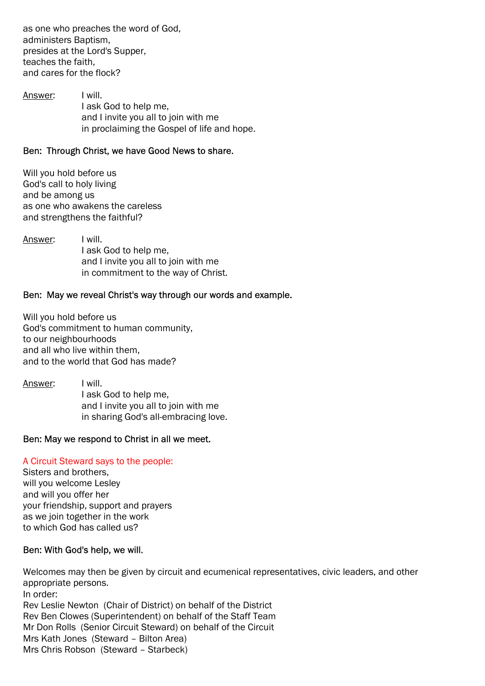as one who preaches the word of God, administers Baptism, presides at the Lord's Supper, teaches the faith, and cares for the flock?

Answer: I will. I ask God to help me, and I invite you all to join with me in proclaiming the Gospel of life and hope.

## Ben: Through Christ, we have Good News to share.

Will you hold before us God's call to holy living and be among us as one who awakens the careless and strengthens the faithful?

Answer: I will. I ask God to help me, and I invite you all to join with me in commitment to the way of Christ.

## Ben: May we reveal Christ's way through our words and example.

Will you hold before us God's commitment to human community, to our neighbourhoods and all who live within them, and to the world that God has made?

Answer: I will. I ask God to help me, and I invite you all to join with me in sharing God's all-embracing love.

### Ben: May we respond to Christ in all we meet.

### A Circuit Steward says to the people:

Sisters and brothers, will you welcome Lesley and will you offer her your friendship, support and prayers as we join together in the work to which God has called us?

### Ben: With God's help, we will.

Welcomes may then be given by circuit and ecumenical representatives, civic leaders, and other appropriate persons. In order: Rev Leslie Newton (Chair of District) on behalf of the District Rev Ben Clowes (Superintendent) on behalf of the Staff Team Mr Don Rolls (Senior Circuit Steward) on behalf of the Circuit Mrs Kath Jones (Steward – Bilton Area) Mrs Chris Robson (Steward – Starbeck)